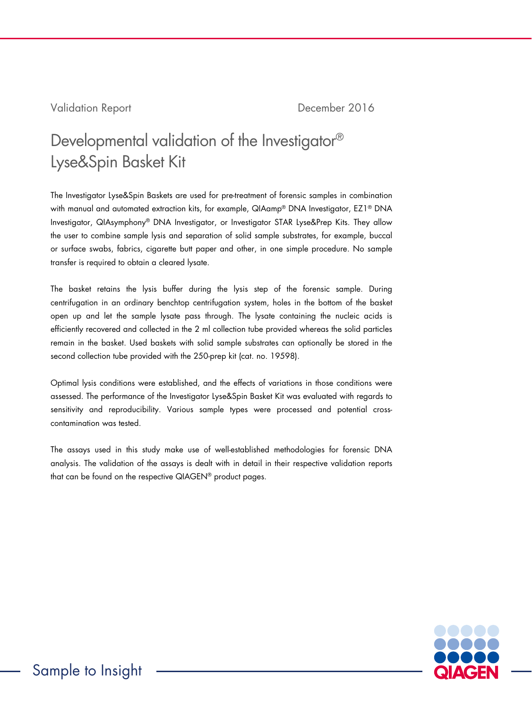## Validation Report **December 2016**

# Developmental validation of the Investigator® Lyse&Spin Basket Kit

The Investigator Lyse&Spin Baskets are used for pre-treatment of forensic samples in combination with manual and automated extraction kits, for example, QIAamp® DNA Investigator, EZ1® DNA Investigator, QIAsymphony® DNA Investigator, or Investigator STAR Lyse&Prep Kits. They allow the user to combine sample lysis and separation of solid sample substrates, for example, buccal or surface swabs, fabrics, cigarette butt paper and other, in one simple procedure. No sample transfer is required to obtain a cleared lysate.

The basket retains the lysis buffer during the lysis step of the forensic sample. During centrifugation in an ordinary benchtop centrifugation system, holes in the bottom of the basket open up and let the sample lysate pass through. The lysate containing the nucleic acids is efficiently recovered and collected in the 2 ml collection tube provided whereas the solid particles remain in the basket. Used baskets with solid sample substrates can optionally be stored in the second collection tube provided with the 250-prep kit (cat. no. 19598).

Optimal lysis conditions were established, and the effects of variations in those conditions were assessed. The performance of the Investigator Lyse&Spin Basket Kit was evaluated with regards to sensitivity and reproducibility. Various sample types were processed and potential crosscontamination was tested.

The assays used in this study make use of well-established methodologies for forensic DNA analysis. The validation of the assays is dealt with in detail in their respective validation reports that can be found on the respective QIAGEN® product pages.

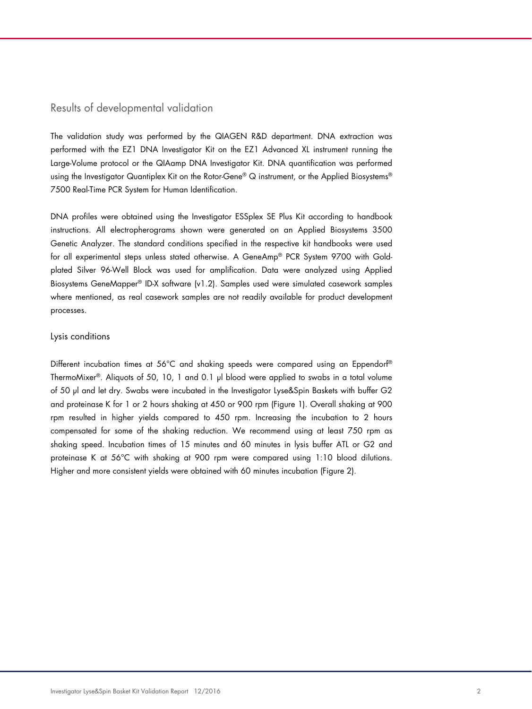### Results of developmental validation

The validation study was performed by the QIAGEN R&D department. DNA extraction was performed with the EZ1 DNA Investigator Kit on the EZ1 Advanced XL instrument running the Large-Volume protocol or the QIAamp DNA Investigator Kit. DNA quantification was performed using the Investigator Quantiplex Kit on the Rotor-Gene® Q instrument, or the Applied Biosystems® 7500 Real-Time PCR System for Human Identification.

DNA profiles were obtained using the Investigator ESSplex SE Plus Kit according to handbook instructions. All electropherograms shown were generated on an Applied Biosystems 3500 Genetic Analyzer. The standard conditions specified in the respective kit handbooks were used for all experimental steps unless stated otherwise. A GeneAmp® PCR System 9700 with Goldplated Silver 96-Well Block was used for amplification. Data were analyzed using Applied Biosystems GeneMapper® ID-X software (v1.2). Samples used were simulated casework samples where mentioned, as real casework samples are not readily available for product development processes.

#### Lysis conditions

Different incubation times at 56°C and shaking speeds were compared using an Eppendorf® ThermoMixer®. Aliquots of 50, 10, 1 and 0.1 µl blood were applied to swabs in a total volume of 50 µl and let dry. Swabs were incubated in the Investigator Lyse&Spin Baskets with buffer G2 and proteinase K for 1 or 2 hours shaking at 450 or 900 rpm (Figure 1). Overall shaking at 900 rpm resulted in higher yields compared to 450 rpm. Increasing the incubation to 2 hours compensated for some of the shaking reduction. We recommend using at least 750 rpm as shaking speed. Incubation times of 15 minutes and 60 minutes in lysis buffer ATL or G2 and proteinase K at 56°C with shaking at 900 rpm were compared using 1:10 blood dilutions. Higher and more consistent yields were obtained with 60 minutes incubation (Figure 2).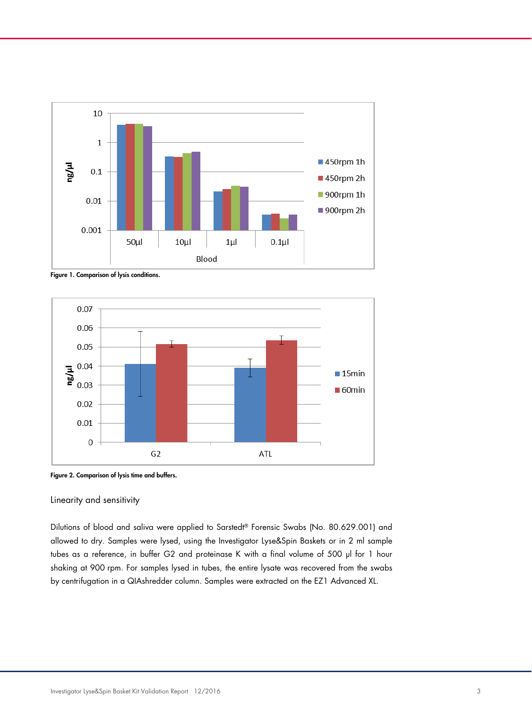

Figure 1. Comparison of lysis conditions.



Figure 2. Comparison of lysis time and buffers.

#### Linearity and sensitivity

Dilutions of blood and saliva were applied to Sarstedt® Forensic Swabs (No. 80.629.001) and allowed to dry. Samples were lysed, using the Investigator Lyse&Spin Baskets or in 2 ml sample tubes as a reference, in buffer G2 and proteinase K with a final volume of 500 µl for 1 hour shaking at 900 rpm. For samples lysed in tubes, the entire lysate was recovered from the swabs by centrifugation in a QIAshredder column. Samples were extracted on the EZ1 Advanced XL.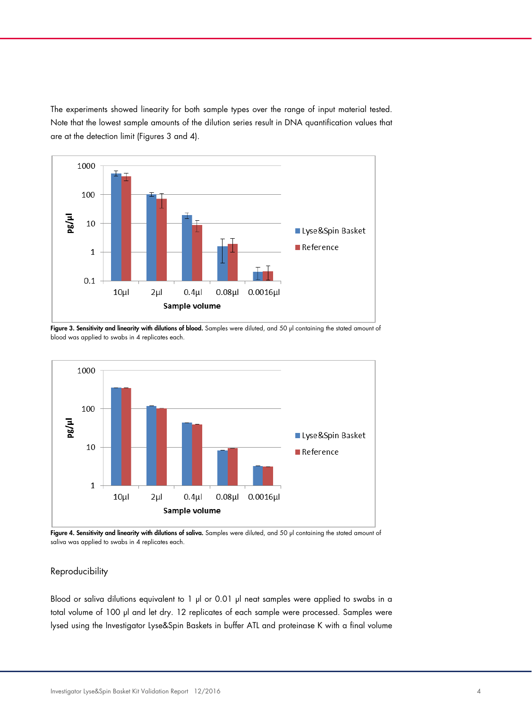The experiments showed linearity for both sample types over the range of input material tested. Note that the lowest sample amounts of the dilution series result in DNA quantification values that are at the detection limit (Figures 3 and 4).



Figure 3. Sensitivity and linearity with dilutions of blood. Samples were diluted, and 50 µl containing the stated amount of blood was applied to swabs in 4 replicates each.



Figure 4. Sensitivity and linearity with dilutions of saliva. Samples were diluted, and 50 µl containing the stated amount of saliva was applied to swabs in 4 replicates each.

## Reproducibility

Blood or saliva dilutions equivalent to 1 µl or 0.01 µl neat samples were applied to swabs in a total volume of 100 µl and let dry. 12 replicates of each sample were processed. Samples were lysed using the Investigator Lyse&Spin Baskets in buffer ATL and proteinase K with a final volume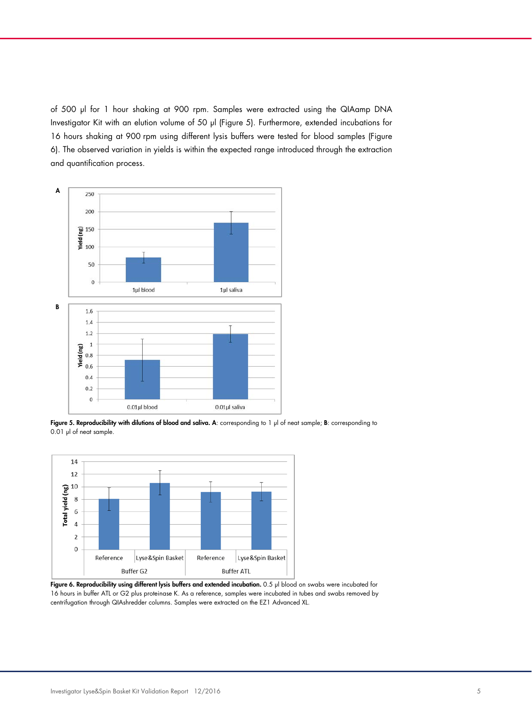of 500 µl for 1 hour shaking at 900 rpm. Samples were extracted using the QIAamp DNA Investigator Kit with an elution volume of 50 µl (Figure 5). Furthermore, extended incubations for 16 hours shaking at 900 rpm using different lysis buffers were tested for blood samples (Figure 6). The observed variation in yields is within the expected range introduced through the extraction and quantification process.



Figure 5. Reproducibility with dilutions of blood and saliva. A: corresponding to 1 µl of neat sample; B: corresponding to 0.01 µl of neat sample.



Figure 6. Reproducibility using different lysis buffers and extended incubation. 0.5 µl blood on swabs were incubated for 16 hours in buffer ATL or G2 plus proteinase K. As a reference, samples were incubated in tubes and swabs removed by centrifugation through QIAshredder columns. Samples were extracted on the EZ1 Advanced XL.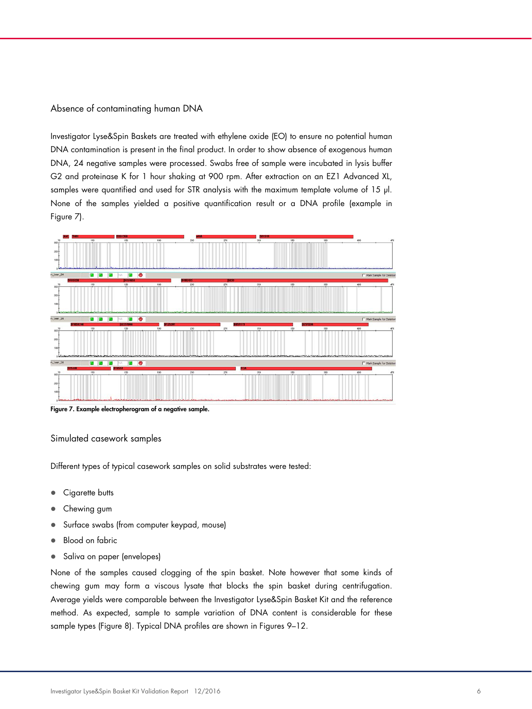Absence of contaminating human DNA

Investigator Lyse&Spin Baskets are treated with ethylene oxide (EO) to ensure no potential human DNA contamination is present in the final product. In order to show absence of exogenous human DNA, 24 negative samples were processed. Swabs free of sample were incubated in lysis buffer G2 and proteinase K for 1 hour shaking at 900 rpm. After extraction on an EZ1 Advanced XL, samples were quantified and used for STR analysis with the maximum template volume of 15 µl. None of the samples yielded a positive quantification result or a DNA profile (example in Figure 7).



Figure 7. Example electropherogram of a negative sample.

#### Simulated casework samples

Different types of typical casework samples on solid substrates were tested:

- Cigarette butts
- Chewing gum
- Surface swabs (from computer keypad, mouse)
- Blood on fabric
- Saliva on paper (envelopes)

None of the samples caused clogging of the spin basket. Note however that some kinds of chewing gum may form a viscous lysate that blocks the spin basket during centrifugation. Average yields were comparable between the Investigator Lyse&Spin Basket Kit and the reference method. As expected, sample to sample variation of DNA content is considerable for these sample types (Figure 8). Typical DNA profiles are shown in Figures 9–12.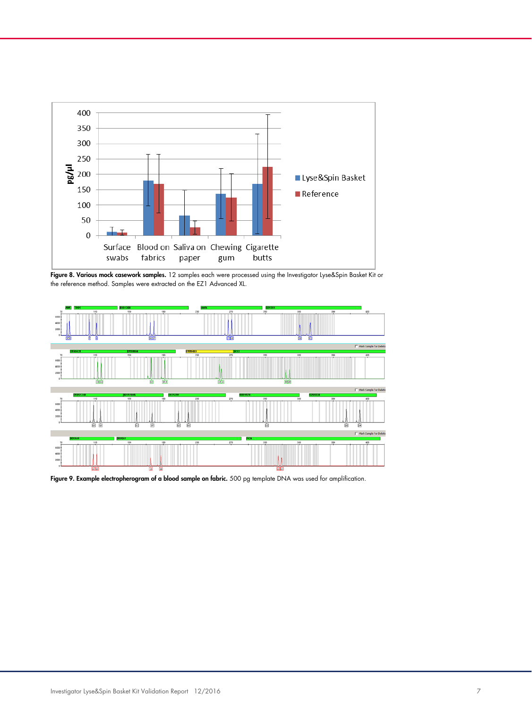

Figure 8. Various mock casework samples. 12 samples each were processed using the Investigator Lyse&Spin Basket Kit or the reference method. Samples were extracted on the EZ1 Advanced XL.



Figure 9. Example electropherogram of a blood sample on fabric. 500 pg template DNA was used for amplification.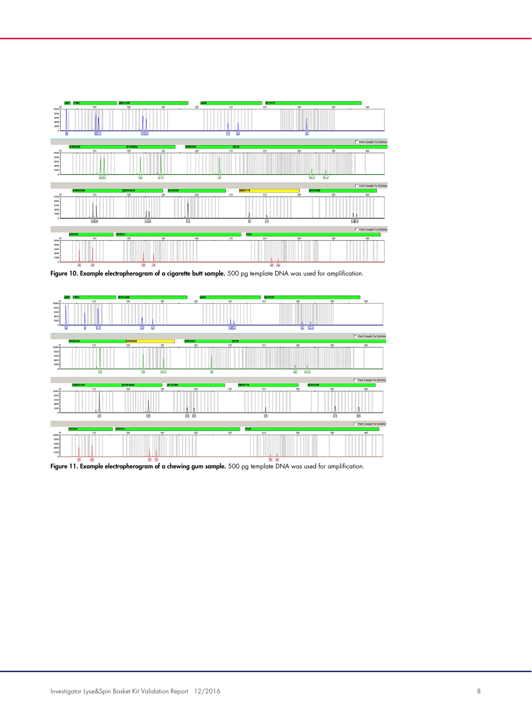

Figure 10. Example electropherogram of a cigarette butt sample. 500 pg template DNA was used for amplification.



Figure 11. Example electropherogram of a chewing gum sample. 500 pg template DNA was used for amplification.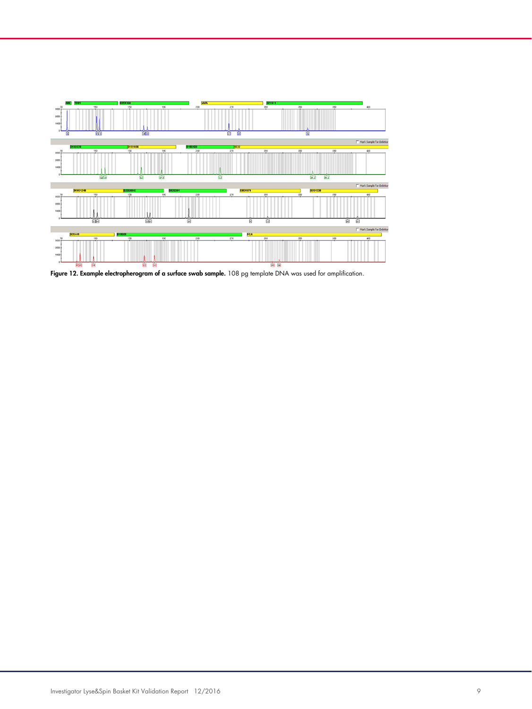

Figure 12. Example electropherogram of a surface swab sample. 108 pg template DNA was used for amplification.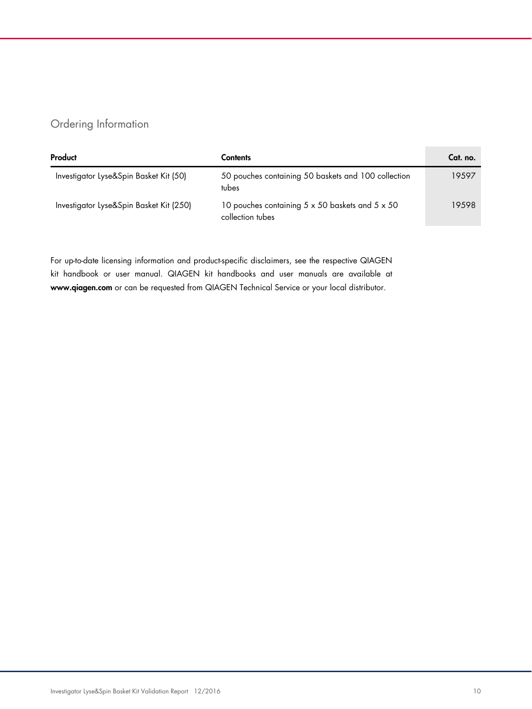# Ordering Information

| Product                                 | Contents                                                                          | Cat. no. |
|-----------------------------------------|-----------------------------------------------------------------------------------|----------|
| Investigator Lyse&Spin Basket Kit (50)  | 50 pouches containing 50 baskets and 100 collection<br>tubes                      | 19597    |
| Investigator Lyse&Spin Basket Kit (250) | 10 pouches containing $5 \times 50$ baskets and $5 \times 50$<br>collection tubes | 19598    |

For up-to-date licensing information and product-specific disclaimers, see the respective QIAGEN kit handbook or user manual. QIAGEN kit handbooks and user manuals are available at www.qiagen.com or can be requested from QIAGEN Technical Service or your local distributor.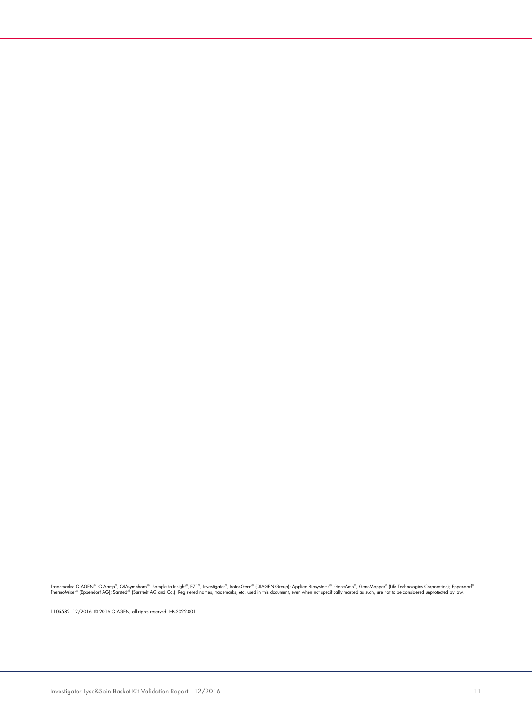Trademarks: QIAGEN®, QIAamp®, QIAsymphony®, Sample to Insight®, EZ1®, Investigator®, RotorGene® (QIAGEN Group); Applied Biosystems®, GeneAmp®, GeneMapper® (Life Technologies Corporation); Eppendorf®.<br>ThermoMixer® (Eppendor

1105582 12/2016 © 2016 QIAGEN, all rights reserved. HB-2322-001